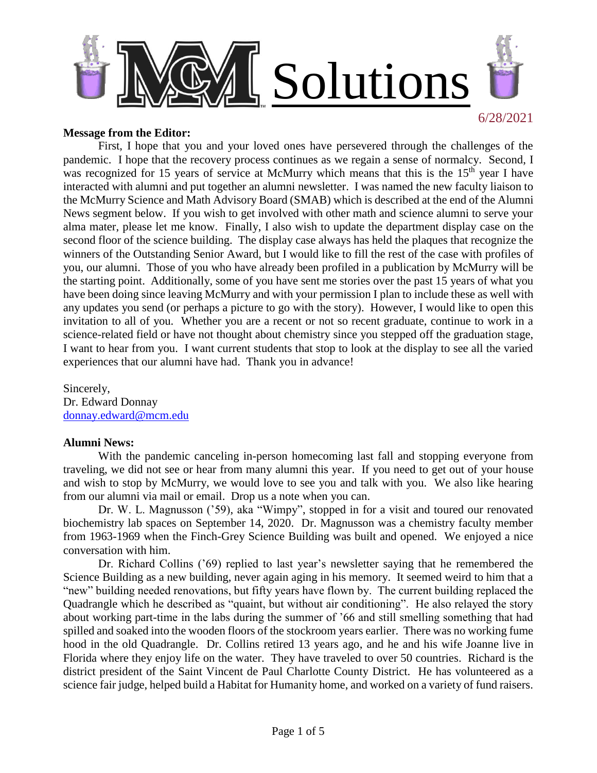

#### **Message from the Editor:**

First, I hope that you and your loved ones have persevered through the challenges of the pandemic. I hope that the recovery process continues as we regain a sense of normalcy. Second, I was recognized for 15 years of service at McMurry which means that this is the 15<sup>th</sup> year I have interacted with alumni and put together an alumni newsletter. I was named the new faculty liaison to the McMurry Science and Math Advisory Board (SMAB) which is described at the end of the Alumni News segment below. If you wish to get involved with other math and science alumni to serve your alma mater, please let me know. Finally, I also wish to update the department display case on the second floor of the science building. The display case always has held the plaques that recognize the winners of the Outstanding Senior Award, but I would like to fill the rest of the case with profiles of you, our alumni. Those of you who have already been profiled in a publication by McMurry will be the starting point. Additionally, some of you have sent me stories over the past 15 years of what you have been doing since leaving McMurry and with your permission I plan to include these as well with any updates you send (or perhaps a picture to go with the story). However, I would like to open this invitation to all of you. Whether you are a recent or not so recent graduate, continue to work in a science-related field or have not thought about chemistry since you stepped off the graduation stage, I want to hear from you. I want current students that stop to look at the display to see all the varied experiences that our alumni have had. Thank you in advance!

Sincerely, Dr. Edward Donnay [donnay.edward@mcm.edu](mailto:donnay.edward@mcm.edu)

#### **Alumni News:**

With the pandemic canceling in-person homecoming last fall and stopping everyone from traveling, we did not see or hear from many alumni this year. If you need to get out of your house and wish to stop by McMurry, we would love to see you and talk with you. We also like hearing from our alumni via mail or email. Drop us a note when you can.

Dr. W. L. Magnusson ('59), aka "Wimpy", stopped in for a visit and toured our renovated biochemistry lab spaces on September 14, 2020. Dr. Magnusson was a chemistry faculty member from 1963-1969 when the Finch-Grey Science Building was built and opened. We enjoyed a nice conversation with him.

Dr. Richard Collins ('69) replied to last year's newsletter saying that he remembered the Science Building as a new building, never again aging in his memory. It seemed weird to him that a "new" building needed renovations, but fifty years have flown by. The current building replaced the Quadrangle which he described as "quaint, but without air conditioning". He also relayed the story about working part-time in the labs during the summer of '66 and still smelling something that had spilled and soaked into the wooden floors of the stockroom years earlier. There was no working fume hood in the old Quadrangle. Dr. Collins retired 13 years ago, and he and his wife Joanne live in Florida where they enjoy life on the water. They have traveled to over 50 countries. Richard is the district president of the Saint Vincent de Paul Charlotte County District. He has volunteered as a science fair judge, helped build a Habitat for Humanity home, and worked on a variety of fund raisers.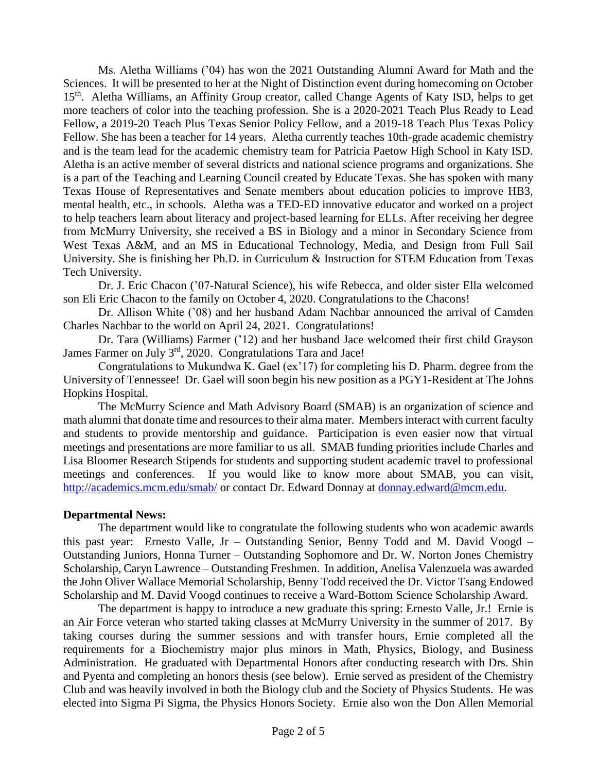Ms. Aletha Williams ('04) has won the 2021 Outstanding Alumni Award for Math and the Sciences. It will be presented to her at the Night of Distinction event during homecoming on October 15<sup>th</sup>. Aletha Williams, an Affinity Group creator, called Change Agents of Katy ISD, helps to get more teachers of color into the teaching profession. She is a 2020-2021 Teach Plus Ready to Lead Fellow, a 2019-20 Teach Plus Texas Senior Policy Fellow, and a 2019-18 Teach Plus Texas Policy Fellow. She has been a teacher for 14 years. Aletha currently teaches 10th-grade academic chemistry and is the team lead for the academic chemistry team for Patricia Paetow High School in Katy ISD. Aletha is an active member of several districts and national science programs and organizations. She is a part of the Teaching and Learning Council created by Educate Texas. She has spoken with many Texas House of Representatives and Senate members about education policies to improve HB3, mental health, etc., in schools. Aletha was a TED-ED innovative educator and worked on a project to help teachers learn about literacy and project-based learning for ELLs. After receiving her degree from McMurry University, she received a BS in Biology and a minor in Secondary Science from West Texas A&M, and an MS in Educational Technology, Media, and Design from Full Sail University. She is finishing her Ph.D. in Curriculum & Instruction for STEM Education from Texas Tech University.

Dr. J. Eric Chacon ('07-Natural Science), his wife Rebecca, and older sister Ella welcomed son Eli Eric Chacon to the family on October 4, 2020. Congratulations to the Chacons!

Dr. Allison White ('08) and her husband Adam Nachbar announced the arrival of Camden Charles Nachbar to the world on April 24, 2021. Congratulations!

Dr. Tara (Williams) Farmer ('12) and her husband Jace welcomed their first child Grayson James Farmer on July 3rd, 2020. Congratulations Tara and Jace!

Congratulations to Mukundwa K. Gael (ex'17) for completing his D. Pharm. degree from the University of Tennessee! Dr. Gael will soon begin his new position as a PGY1-Resident at The Johns Hopkins Hospital.

The McMurry Science and Math Advisory Board (SMAB) is an organization of science and math alumni that donate time and resources to their alma mater. Members interact with current faculty and students to provide mentorship and guidance. Participation is even easier now that virtual meetings and presentations are more familiar to us all. SMAB funding priorities include Charles and Lisa Bloomer Research Stipends for students and supporting student academic travel to professional meetings and conferences. If you would like to know more about SMAB, you can visit, <http://academics.mcm.edu/smab/> or contact Dr. Edward Donnay at [donnay.edward@mcm.edu.](mailto:donnay.edward@mcm.edu)

### **Departmental News:**

The department would like to congratulate the following students who won academic awards this past year: Ernesto Valle, Jr – Outstanding Senior, Benny Todd and M. David Voogd – Outstanding Juniors, Honna Turner – Outstanding Sophomore and Dr. W. Norton Jones Chemistry Scholarship, Caryn Lawrence – Outstanding Freshmen. In addition, Anelisa Valenzuela was awarded the John Oliver Wallace Memorial Scholarship, Benny Todd received the Dr. Victor Tsang Endowed Scholarship and M. David Voogd continues to receive a Ward-Bottom Science Scholarship Award.

The department is happy to introduce a new graduate this spring: Ernesto Valle, Jr.! Ernie is an Air Force veteran who started taking classes at McMurry University in the summer of 2017. By taking courses during the summer sessions and with transfer hours, Ernie completed all the requirements for a Biochemistry major plus minors in Math, Physics, Biology, and Business Administration. He graduated with Departmental Honors after conducting research with Drs. Shin and Pyenta and completing an honors thesis (see below). Ernie served as president of the Chemistry Club and was heavily involved in both the Biology club and the Society of Physics Students. He was elected into Sigma Pi Sigma, the Physics Honors Society. Ernie also won the Don Allen Memorial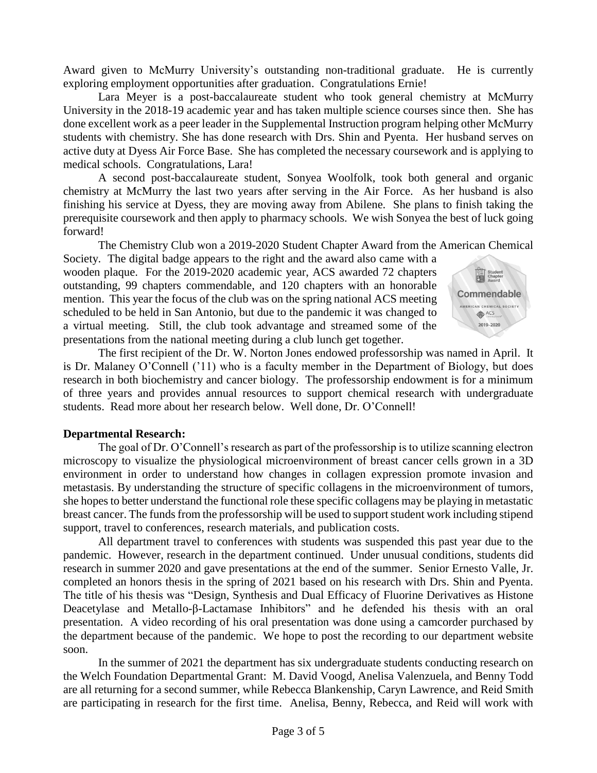Award given to McMurry University's outstanding non-traditional graduate. He is currently exploring employment opportunities after graduation. Congratulations Ernie!

Lara Meyer is a post-baccalaureate student who took general chemistry at McMurry University in the 2018-19 academic year and has taken multiple science courses since then. She has done excellent work as a peer leader in the Supplemental Instruction program helping other McMurry students with chemistry. She has done research with Drs. Shin and Pyenta. Her husband serves on active duty at Dyess Air Force Base. She has completed the necessary coursework and is applying to medical schools. Congratulations, Lara!

A second post-baccalaureate student, Sonyea Woolfolk, took both general and organic chemistry at McMurry the last two years after serving in the Air Force. As her husband is also finishing his service at Dyess, they are moving away from Abilene. She plans to finish taking the prerequisite coursework and then apply to pharmacy schools. We wish Sonyea the best of luck going forward!

The Chemistry Club won a 2019-2020 Student Chapter Award from the American Chemical

Society. The digital badge appears to the right and the award also came with a wooden plaque. For the 2019-2020 academic year, ACS awarded 72 chapters outstanding, 99 chapters commendable, and 120 chapters with an honorable mention. This year the focus of the club was on the spring national ACS meeting scheduled to be held in San Antonio, but due to the pandemic it was changed to a virtual meeting. Still, the club took advantage and streamed some of the presentations from the national meeting during a club lunch get together.



The first recipient of the Dr. W. Norton Jones endowed professorship was named in April. It is Dr. Malaney O'Connell ('11) who is a faculty member in the Department of Biology, but does research in both biochemistry and cancer biology. The professorship endowment is for a minimum of three years and provides annual resources to support chemical research with undergraduate students. Read more about her research below. Well done, Dr. O'Connell!

### **Departmental Research:**

The goal of Dr. O'Connell's research as part of the professorship is to utilize scanning electron microscopy to visualize the physiological microenvironment of breast cancer cells grown in a 3D environment in order to understand how changes in collagen expression promote invasion and metastasis. By understanding the structure of specific collagens in the microenvironment of tumors, she hopes to better understand the functional role these specific collagens may be playing in metastatic breast cancer. The funds from the professorship will be used to support student work including stipend support, travel to conferences, research materials, and publication costs.

All department travel to conferences with students was suspended this past year due to the pandemic. However, research in the department continued. Under unusual conditions, students did research in summer 2020 and gave presentations at the end of the summer. Senior Ernesto Valle, Jr. completed an honors thesis in the spring of 2021 based on his research with Drs. Shin and Pyenta. The title of his thesis was "Design, Synthesis and Dual Efficacy of Fluorine Derivatives as Histone Deacetylase and Metallo-β-Lactamase Inhibitors" and he defended his thesis with an oral presentation. A video recording of his oral presentation was done using a camcorder purchased by the department because of the pandemic. We hope to post the recording to our department website soon.

In the summer of 2021 the department has six undergraduate students conducting research on the Welch Foundation Departmental Grant: M. David Voogd, Anelisa Valenzuela, and Benny Todd are all returning for a second summer, while Rebecca Blankenship, Caryn Lawrence, and Reid Smith are participating in research for the first time. Anelisa, Benny, Rebecca, and Reid will work with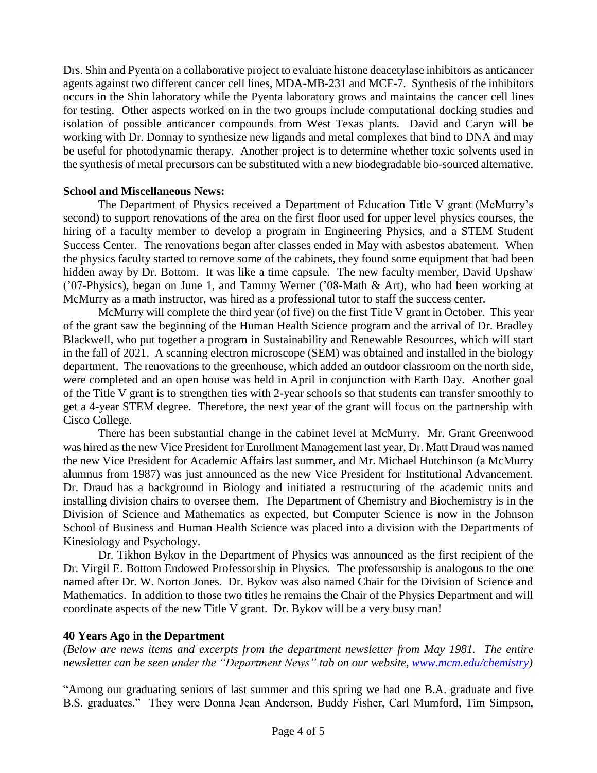Drs. Shin and Pyenta on a collaborative project to evaluate histone deacetylase inhibitors as anticancer agents against two different cancer cell lines, MDA-MB-231 and MCF-7. Synthesis of the inhibitors occurs in the Shin laboratory while the Pyenta laboratory grows and maintains the cancer cell lines for testing. Other aspects worked on in the two groups include computational docking studies and isolation of possible anticancer compounds from West Texas plants. David and Caryn will be working with Dr. Donnay to synthesize new ligands and metal complexes that bind to DNA and may be useful for photodynamic therapy. Another project is to determine whether toxic solvents used in the synthesis of metal precursors can be substituted with a new biodegradable bio-sourced alternative.

### **School and Miscellaneous News:**

The Department of Physics received a Department of Education Title V grant (McMurry's second) to support renovations of the area on the first floor used for upper level physics courses, the hiring of a faculty member to develop a program in Engineering Physics, and a STEM Student Success Center. The renovations began after classes ended in May with asbestos abatement. When the physics faculty started to remove some of the cabinets, they found some equipment that had been hidden away by Dr. Bottom. It was like a time capsule. The new faculty member, David Upshaw ('07-Physics), began on June 1, and Tammy Werner ('08-Math & Art), who had been working at McMurry as a math instructor, was hired as a professional tutor to staff the success center.

McMurry will complete the third year (of five) on the first Title V grant in October. This year of the grant saw the beginning of the Human Health Science program and the arrival of Dr. Bradley Blackwell, who put together a program in Sustainability and Renewable Resources, which will start in the fall of 2021. A scanning electron microscope (SEM) was obtained and installed in the biology department. The renovations to the greenhouse, which added an outdoor classroom on the north side, were completed and an open house was held in April in conjunction with Earth Day. Another goal of the Title V grant is to strengthen ties with 2-year schools so that students can transfer smoothly to get a 4-year STEM degree. Therefore, the next year of the grant will focus on the partnership with Cisco College.

There has been substantial change in the cabinet level at McMurry. Mr. Grant Greenwood was hired as the new Vice President for Enrollment Management last year, Dr. Matt Draud was named the new Vice President for Academic Affairs last summer, and Mr. Michael Hutchinson (a McMurry alumnus from 1987) was just announced as the new Vice President for Institutional Advancement. Dr. Draud has a background in Biology and initiated a restructuring of the academic units and installing division chairs to oversee them. The Department of Chemistry and Biochemistry is in the Division of Science and Mathematics as expected, but Computer Science is now in the Johnson School of Business and Human Health Science was placed into a division with the Departments of Kinesiology and Psychology.

Dr. Tikhon Bykov in the Department of Physics was announced as the first recipient of the Dr. Virgil E. Bottom Endowed Professorship in Physics. The professorship is analogous to the one named after Dr. W. Norton Jones. Dr. Bykov was also named Chair for the Division of Science and Mathematics. In addition to those two titles he remains the Chair of the Physics Department and will coordinate aspects of the new Title V grant. Dr. Bykov will be a very busy man!

# **40 Years Ago in the Department**

*(Below are news items and excerpts from the department newsletter from May 1981. The entire newsletter can be seen under the "Department News" tab on our website, [www.mcm.edu/chemistry\)](http://www.mcm.edu/chemistry)*

"Among our graduating seniors of last summer and this spring we had one B.A. graduate and five B.S. graduates." They were Donna Jean Anderson, Buddy Fisher, Carl Mumford, Tim Simpson,